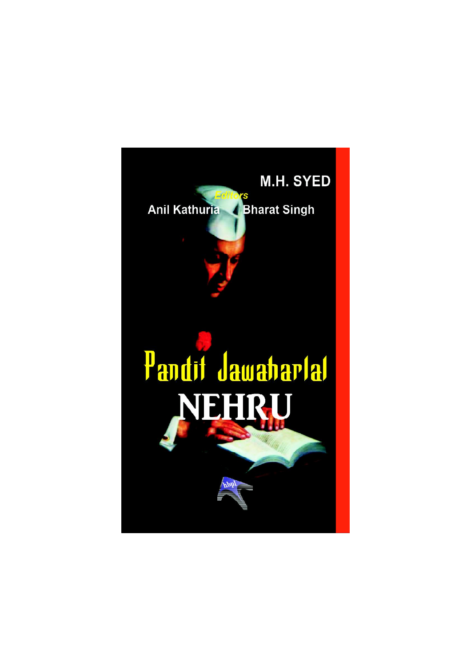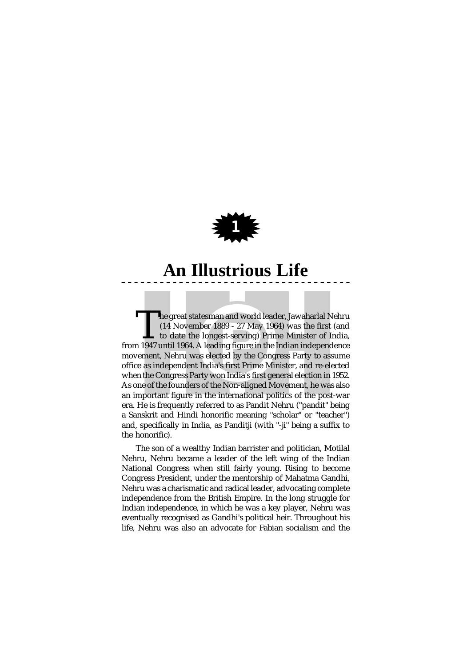

The great statesman and world leader, Jawaharlal Nehru (14 November 1889 - 27 May 1964) was the first (and to date the longest-serving) Prime Minister of India, from 1947 until 1964. A leading figure in the Indian independ he great statesman and world leader, Jawaharlal Nehru (14 November 1889 - 27 May 1964) was the first (and to date the longest-serving) Prime Minister of India, movement, Nehru was elected by the Congress Party to assume office as independent India's first Prime Minister, and re-elected when the Congress Party won India's first general election in 1952. As one of the founders of the Non-aligned Movement, he was also an important figure in the international politics of the post-war era. He is frequently referred to as Pandit Nehru ("pandit" being a Sanskrit and Hindi honorific meaning "scholar" or "teacher") and, specifically in India, as Panditji (with "-ji" being a suffix to the honorific).

The son of a wealthy Indian barrister and politician, Motilal Nehru, Nehru became a leader of the left wing of the Indian National Congress when still fairly young. Rising to become Congress President, under the mentorship of Mahatma Gandhi, Nehru was a charismatic and radical leader, advocating complete independence from the British Empire. In the long struggle for Indian independence, in which he was a key player, Nehru was eventually recognised as Gandhi's political heir. Throughout his life, Nehru was also an advocate for Fabian socialism and the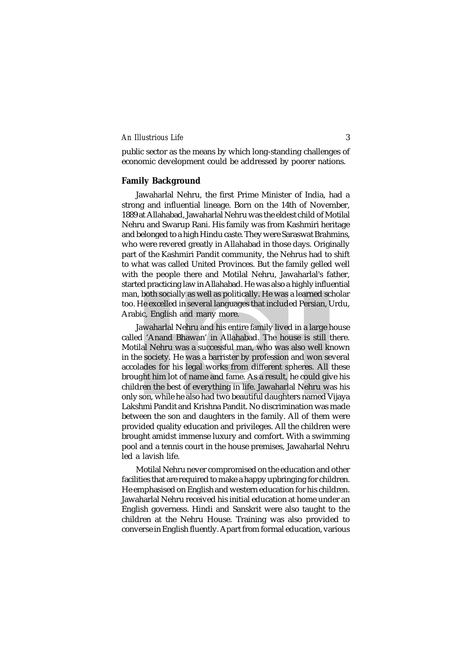public sector as the means by which long-standing challenges of economic development could be addressed by poorer nations.

# **Family Background**

Jawaharlal Nehru, the first Prime Minister of India, had a strong and influential lineage. Born on the 14th of November, 1889 at Allahabad, Jawaharlal Nehru was the eldest child of Motilal Nehru and Swarup Rani. His family was from Kashmiri heritage and belonged to a high Hindu caste. They were Saraswat Brahmins, who were revered greatly in Allahabad in those days. Originally part of the Kashmiri Pandit community, the Nehrus had to shift to what was called United Provinces. But the family gelled well with the people there and Motilal Nehru, Jawaharlal's father, started practicing law in Allahabad. He was also a highly influential man, both socially as well as politically. He was a learned scholar too. He excelled in several languages that included Persian, Urdu, Arabic, English and many more.

Jawaharlal Nehru and his entire family lived in a large house called 'Anand Bhawan' in Allahabad. The house is still there. Motilal Nehru was a successful man, who was also well known in the society. He was a barrister by profession and won several accolades for his legal works from different spheres. All these brought him lot of name and fame. As a result, he could give his children the best of everything in life. Jawaharlal Nehru was his only son, while he also had two beautiful daughters named Vijaya Lakshmi Pandit and Krishna Pandit. No discrimination was made between the son and daughters in the family. All of them were provided quality education and privileges. All the children were brought amidst immense luxury and comfort. With a swimming pool and a tennis court in the house premises, Jawaharlal Nehru led a lavish life.

Motilal Nehru never compromised on the education and other facilities that are required to make a happy upbringing for children. He emphasised on English and western education for his children. Jawaharlal Nehru received his initial education at home under an English governess. Hindi and Sanskrit were also taught to the children at the Nehru House. Training was also provided to converse in English fluently. Apart from formal education, various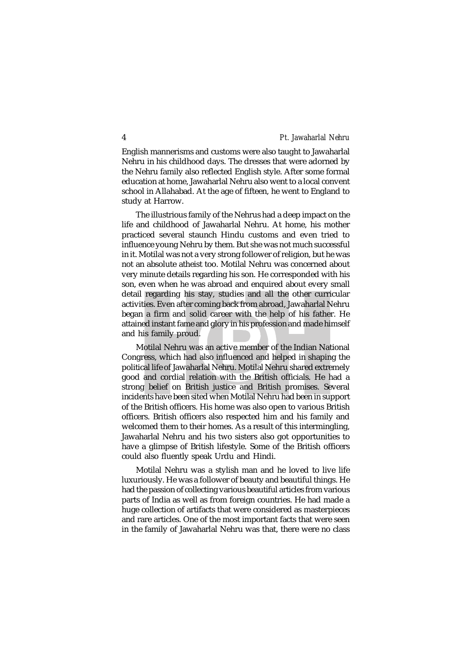English mannerisms and customs were also taught to Jawaharlal Nehru in his childhood days. The dresses that were adorned by the Nehru family also reflected English style. After some formal education at home, Jawaharlal Nehru also went to a local convent school in Allahabad. At the age of fifteen, he went to England to study at Harrow.

The illustrious family of the Nehrus had a deep impact on the life and childhood of Jawaharlal Nehru. At home, his mother practiced several staunch Hindu customs and even tried to influence young Nehru by them. But she was not much successful in it. Motilal was not a very strong follower of religion, but he was not an absolute atheist too. Motilal Nehru was concerned about very minute details regarding his son. He corresponded with his son, even when he was abroad and enquired about every small detail regarding his stay, studies and all the other curricular activities. Even after coming back from abroad, Jawaharlal Nehru began a firm and solid career with the help of his father. He attained instant fame and glory in his profession and made himself and his family proud.

Motilal Nehru was an active member of the Indian National Congress, which had also influenced and helped in shaping the political life of Jawaharlal Nehru. Motilal Nehru shared extremely good and cordial relation with the British officials. He had a strong belief on British justice and British promises. Several incidents have been sited when Motilal Nehru had been in support of the British officers. His home was also open to various British officers. British officers also respected him and his family and welcomed them to their homes. As a result of this intermingling, Jawaharlal Nehru and his two sisters also got opportunities to have a glimpse of British lifestyle. Some of the British officers could also fluently speak Urdu and Hindi.

Motilal Nehru was a stylish man and he loved to live life luxuriously. He was a follower of beauty and beautiful things. He had the passion of collecting various beautiful articles from various parts of India as well as from foreign countries. He had made a huge collection of artifacts that were considered as masterpieces and rare articles. One of the most important facts that were seen in the family of Jawaharlal Nehru was that, there were no class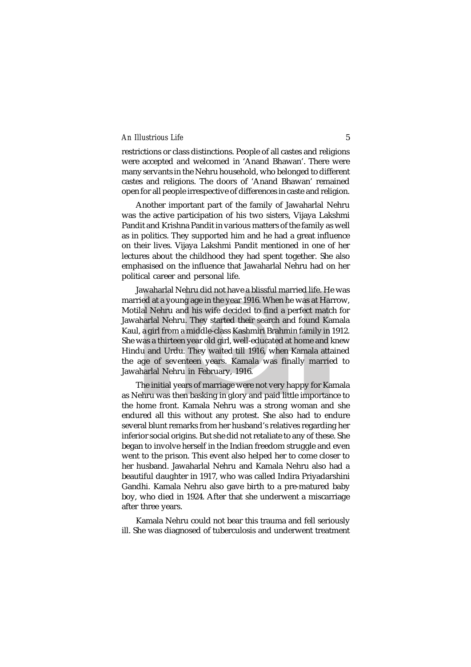restrictions or class distinctions. People of all castes and religions were accepted and welcomed in 'Anand Bhawan'. There were many servants in the Nehru household, who belonged to different castes and religions. The doors of 'Anand Bhawan' remained open for all people irrespective of differences in caste and religion.

Another important part of the family of Jawaharlal Nehru was the active participation of his two sisters, Vijaya Lakshmi Pandit and Krishna Pandit in various matters of the family as well as in politics. They supported him and he had a great influence on their lives. Vijaya Lakshmi Pandit mentioned in one of her lectures about the childhood they had spent together. She also emphasised on the influence that Jawaharlal Nehru had on her political career and personal life.

Jawaharlal Nehru did not have a blissful married life. He was married at a young age in the year 1916. When he was at Harrow, Motilal Nehru and his wife decided to find a perfect match for Jawaharlal Nehru. They started their search and found Kamala Kaul, a girl from a middle-class Kashmiri Brahmin family in 1912. She was a thirteen year old girl, well-educated at home and knew Hindu and Urdu. They waited till 1916, when Kamala attained the age of seventeen years. Kamala was finally married to Jawaharlal Nehru in February, 1916.

The initial years of marriage were not very happy for Kamala as Nehru was then basking in glory and paid little importance to the home front. Kamala Nehru was a strong woman and she endured all this without any protest. She also had to endure several blunt remarks from her husband's relatives regarding her inferior social origins. But she did not retaliate to any of these. She began to involve herself in the Indian freedom struggle and even went to the prison. This event also helped her to come closer to her husband. Jawaharlal Nehru and Kamala Nehru also had a beautiful daughter in 1917, who was called Indira Priyadarshini Gandhi. Kamala Nehru also gave birth to a pre-matured baby boy, who died in 1924. After that she underwent a miscarriage after three years.

Kamala Nehru could not bear this trauma and fell seriously ill. She was diagnosed of tuberculosis and underwent treatment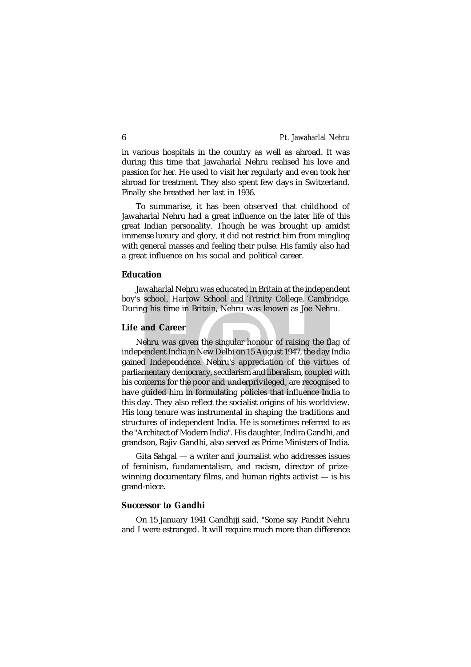in various hospitals in the country as well as abroad. It was during this time that Jawaharlal Nehru realised his love and passion for her. He used to visit her regularly and even took her abroad for treatment. They also spent few days in Switzerland. Finally she breathed her last in 1936.

To summarise, it has been observed that childhood of Jawaharlal Nehru had a great influence on the later life of this great Indian personality. Though he was brought up amidst immense luxury and glory, it did not restrict him from mingling with general masses and feeling their pulse. His family also had a great influence on his social and political career.

# **Education**

Jawaharlal Nehru was educated in Britain at the independent boy's school, Harrow School and Trinity College, Cambridge. During his time in Britain, Nehru was known as Joe Nehru.

#### **Life and Career**

Nehru was given the singular honour of raising the flag of independent India in New Delhi on 15 August 1947, the day India gained Independence. Nehru's appreciation of the virtues of parliamentary democracy, secularism and liberalism, coupled with his concerns for the poor and underprivileged, are recognised to have guided him in formulating policies that influence India to this day. They also reflect the socialist origins of his worldview. His long tenure was instrumental in shaping the traditions and structures of independent India. He is sometimes referred to as the "Architect of Modern India". His daughter, Indira Gandhi, and grandson, Rajiv Gandhi, also served as Prime Ministers of India.

Gita Sahgal — a writer and journalist who addresses issues of feminism, fundamentalism, and racism, director of prizewinning documentary films, and human rights activist — is his grand-niece.

### **Successor to Gandhi**

On 15 January 1941 Gandhiji said, "Some say Pandit Nehru and I were estranged. It will require much more than difference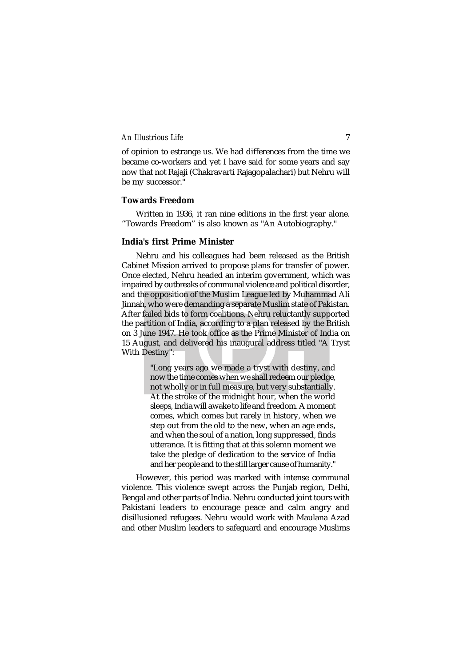of opinion to estrange us. We had differences from the time we became co-workers and yet I have said for some years and say now that not Rajaji (Chakravarti Rajagopalachari) but Nehru will be my successor."

# **Towards Freedom**

Written in 1936, it ran nine editions in the first year alone. "Towards Freedom" is also known as "An Autobiography."

# **India's first Prime Minister**

Nehru and his colleagues had been released as the British Cabinet Mission arrived to propose plans for transfer of power. Once elected, Nehru headed an interim government, which was impaired by outbreaks of communal violence and political disorder, and the opposition of the Muslim League led by Muhammad Ali Jinnah, who were demanding a separate Muslim state of Pakistan. After failed bids to form coalitions, Nehru reluctantly supported the partition of India, according to a plan released by the British on 3 June 1947. He took office as the Prime Minister of India on 15 August, and delivered his inaugural address titled "A Tryst With Destiny":

> "Long years ago we made a tryst with destiny, and now the time comes when we shall redeem our pledge, not wholly or in full measure, but very substantially. At the stroke of the midnight hour, when the world sleeps, India will awake to life and freedom. A moment comes, which comes but rarely in history, when we step out from the old to the new, when an age ends, and when the soul of a nation, long suppressed, finds utterance. It is fitting that at this solemn moment we take the pledge of dedication to the service of India and her people and to the still larger cause of humanity."

However, this period was marked with intense communal violence. This violence swept across the Punjab region, Delhi, Bengal and other parts of India. Nehru conducted joint tours with Pakistani leaders to encourage peace and calm angry and disillusioned refugees. Nehru would work with Maulana Azad and other Muslim leaders to safeguard and encourage Muslims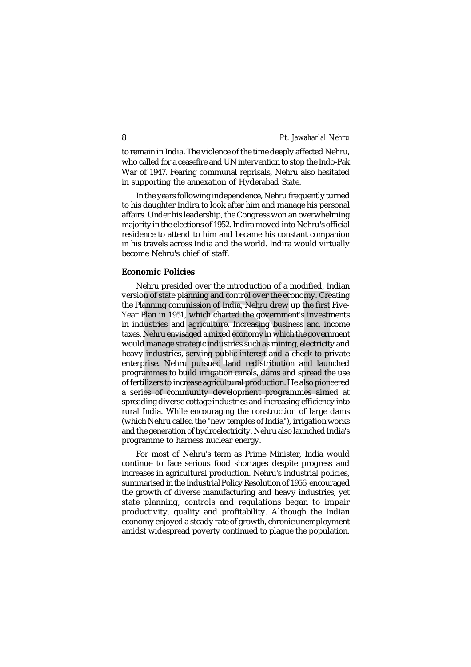to remain in India. The violence of the time deeply affected Nehru, who called for a ceasefire and UN intervention to stop the Indo-Pak War of 1947. Fearing communal reprisals, Nehru also hesitated in supporting the annexation of Hyderabad State.

In the years following independence, Nehru frequently turned to his daughter Indira to look after him and manage his personal affairs. Under his leadership, the Congress won an overwhelming majority in the elections of 1952. Indira moved into Nehru's official residence to attend to him and became his constant companion in his travels across India and the world. Indira would virtually become Nehru's chief of staff.

#### **Economic Policies**

Nehru presided over the introduction of a modified, Indian version of state planning and control over the economy. Creating the Planning commission of India, Nehru drew up the first Five-Year Plan in 1951, which charted the government's investments in industries and agriculture. Increasing business and income taxes, Nehru envisaged a mixed economy in which the government would manage strategic industries such as mining, electricity and heavy industries, serving public interest and a check to private enterprise. Nehru pursued land redistribution and launched programmes to build irrigation canals, dams and spread the use of fertilizers to increase agricultural production. He also pioneered a series of community development programmes aimed at spreading diverse cottage industries and increasing efficiency into rural India. While encouraging the construction of large dams (which Nehru called the "new temples of India"), irrigation works and the generation of hydroelectricity, Nehru also launched India's programme to harness nuclear energy.

For most of Nehru's term as Prime Minister, India would continue to face serious food shortages despite progress and increases in agricultural production. Nehru's industrial policies, summarised in the Industrial Policy Resolution of 1956, encouraged the growth of diverse manufacturing and heavy industries, yet state planning, controls and regulations began to impair productivity, quality and profitability. Although the Indian economy enjoyed a steady rate of growth, chronic unemployment amidst widespread poverty continued to plague the population.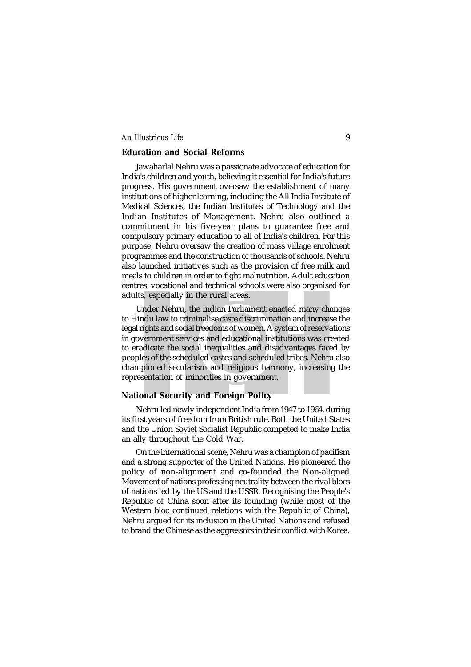#### **Education and Social Reforms**

Jawaharlal Nehru was a passionate advocate of education for India's children and youth, believing it essential for India's future progress. His government oversaw the establishment of many institutions of higher learning, including the All India Institute of Medical Sciences, the Indian Institutes of Technology and the Indian Institutes of Management. Nehru also outlined a commitment in his five-year plans to guarantee free and compulsory primary education to all of India's children. For this purpose, Nehru oversaw the creation of mass village enrolment programmes and the construction of thousands of schools. Nehru also launched initiatives such as the provision of free milk and meals to children in order to fight malnutrition. Adult education centres, vocational and technical schools were also organised for adults, especially in the rural areas.

Under Nehru, the Indian Parliament enacted many changes to Hindu law to criminalise caste discrimination and increase the legal rights and social freedoms of women. A system of reservations in government services and educational institutions was created to eradicate the social inequalities and disadvantages faced by peoples of the scheduled castes and scheduled tribes. Nehru also championed secularism and religious harmony, increasing the representation of minorities in government.

# **National Security and Foreign Policy**

Nehru led newly independent India from 1947 to 1964, during its first years of freedom from British rule. Both the United States and the Union Soviet Socialist Republic competed to make India an ally throughout the Cold War.

On the international scene, Nehru was a champion of pacifism and a strong supporter of the United Nations. He pioneered the policy of non-alignment and co-founded the Non-aligned Movement of nations professing neutrality between the rival blocs of nations led by the US and the USSR. Recognising the People's Republic of China soon after its founding (while most of the Western bloc continued relations with the Republic of China), Nehru argued for its inclusion in the United Nations and refused to brand the Chinese as the aggressors in their conflict with Korea.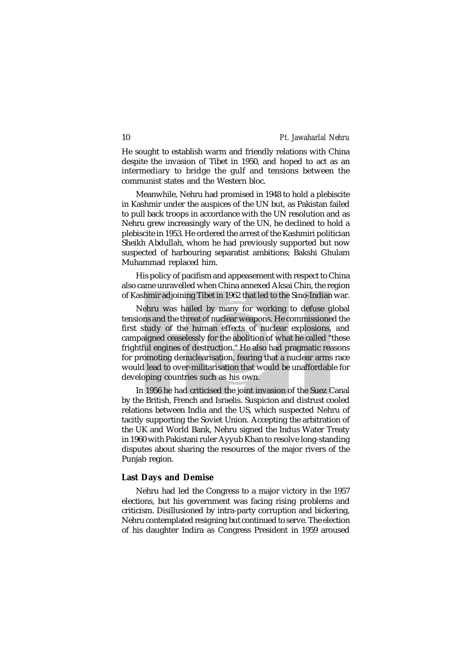He sought to establish warm and friendly relations with China despite the invasion of Tibet in 1950, and hoped to act as an intermediary to bridge the gulf and tensions between the communist states and the Western bloc.

Meanwhile, Nehru had promised in 1948 to hold a plebiscite in Kashmir under the auspices of the UN but, as Pakistan failed to pull back troops in accordance with the UN resolution and as Nehru grew increasingly wary of the UN, he declined to hold a plebiscite in 1953. He ordered the arrest of the Kashmiri politician Sheikh Abdullah, whom he had previously supported but now suspected of harbouring separatist ambitions; Bakshi Ghulam Muhammad replaced him.

His policy of pacifism and appeasement with respect to China also came unravelled when China annexed Aksai Chin, the region of Kashmir adjoining Tibet in 1962 that led to the Sino-Indian war.

Nehru was hailed by many for working to defuse global tensions and the threat of nuclear weapons. He commissioned the first study of the human effects of nuclear explosions, and campaigned ceaselessly for the abolition of what he called "these frightful engines of destruction." He also had pragmatic reasons for promoting denuclearisation, fearing that a nuclear arms race would lead to over-militarisation that would be unaffordable for developing countries such as his own.

In 1956 he had criticised the joint invasion of the Suez Canal by the British, French and Israelis. Suspicion and distrust cooled relations between India and the US, which suspected Nehru of tacitly supporting the Soviet Union. Accepting the arbitration of the UK and World Bank, Nehru signed the Indus Water Treaty in 1960 with Pakistani ruler Ayyub Khan to resolve long-standing disputes about sharing the resources of the major rivers of the Punjab region.

#### **Last Days and Demise**

Nehru had led the Congress to a major victory in the 1957 elections, but his government was facing rising problems and criticism. Disillusioned by intra-party corruption and bickering, Nehru contemplated resigning but continued to serve. The election of his daughter Indira as Congress President in 1959 aroused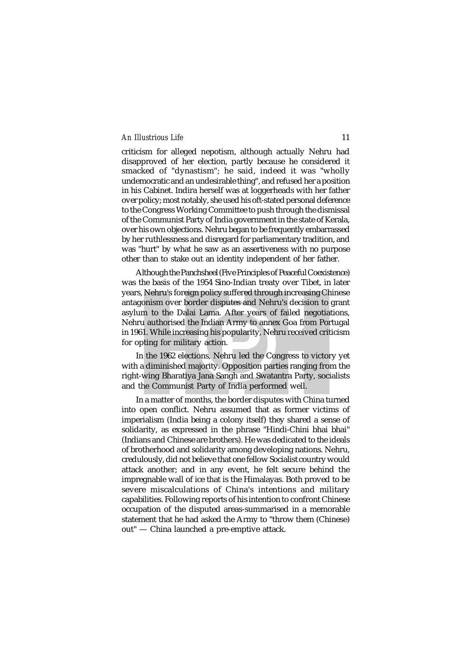criticism for alleged nepotism, although actually Nehru had disapproved of her election, partly because he considered it smacked of "dynastism"; he said, indeed it was "wholly undemocratic and an undesirable thing", and refused her a position in his Cabinet. Indira herself was at loggerheads with her father over policy; most notably, she used his oft-stated personal deference to the Congress Working Committee to push through the dismissal of the Communist Party of India government in the state of Kerala, over his own objections. Nehru began to be frequently embarrassed by her ruthlessness and disregard for parliamentary tradition, and was "hurt" by what he saw as an assertiveness with no purpose other than to stake out an identity independent of her father.

Although the Panchsheel (Five Principles of Peaceful Coexistence) was the basis of the 1954 Sino-Indian treaty over Tibet, in later years, Nehru's foreign policy suffered through increasing Chinese antagonism over border disputes and Nehru's decision to grant asylum to the Dalai Lama. After years of failed negotiations, Nehru authorised the Indian Army to annex Goa from Portugal in 1961. While increasing his popularity, Nehru received criticism for opting for military action.

In the 1962 elections, Nehru led the Congress to victory yet with a diminished majority. Opposition parties ranging from the right-wing Bharatiya Jana Sangh and Swatantra Party, socialists and the Communist Party of India performed well.

In a matter of months, the border disputes with China turned into open conflict. Nehru assumed that as former victims of imperialism (India being a colony itself) they shared a sense of solidarity, as expressed in the phrase "Hindi-Chini bhai bhai" (Indians and Chinese are brothers). He was dedicated to the ideals of brotherhood and solidarity among developing nations. Nehru, credulously, did not believe that one fellow Socialist country would attack another; and in any event, he felt secure behind the impregnable wall of ice that is the Himalayas. Both proved to be severe miscalculations of China's intentions and military capabilities. Following reports of his intention to confront Chinese occupation of the disputed areas-summarised in a memorable statement that he had asked the Army to "throw them (Chinese) out" — China launched a pre-emptive attack.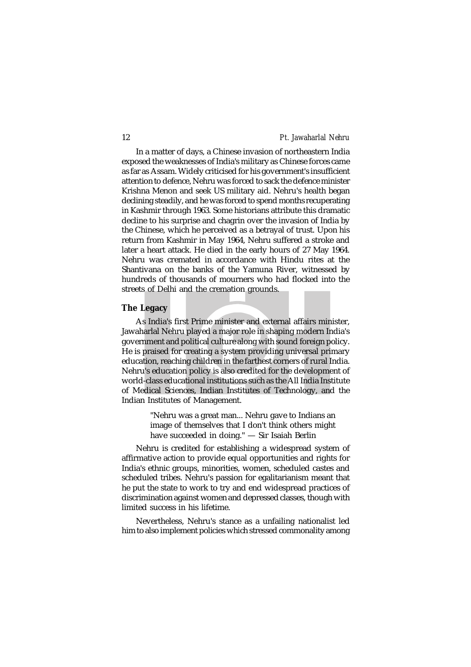In a matter of days, a Chinese invasion of northeastern India exposed the weaknesses of India's military as Chinese forces came as far as Assam. Widely criticised for his government's insufficient attention to defence, Nehru was forced to sack the defence minister Krishna Menon and seek US military aid. Nehru's health began declining steadily, and he was forced to spend months recuperating in Kashmir through 1963. Some historians attribute this dramatic decline to his surprise and chagrin over the invasion of India by the Chinese, which he perceived as a betrayal of trust. Upon his return from Kashmir in May 1964, Nehru suffered a stroke and later a heart attack. He died in the early hours of 27 May 1964. Nehru was cremated in accordance with Hindu rites at the Shantivana on the banks of the Yamuna River, witnessed by hundreds of thousands of mourners who had flocked into the streets of Delhi and the cremation grounds.

#### **The Legacy**

As India's first Prime minister and external affairs minister, Jawaharlal Nehru played a major role in shaping modern India's government and political culture along with sound foreign policy. He is praised for creating a system providing universal primary education, reaching children in the farthest corners of rural India. Nehru's education policy is also credited for the development of world-class educational institutions such as the All India Institute of Medical Sciences, Indian Institutes of Technology, and the Indian Institutes of Management.

> "Nehru was a great man... Nehru gave to Indians an image of themselves that I don't think others might have succeeded in doing." — Sir Isaiah Berlin

Nehru is credited for establishing a widespread system of affirmative action to provide equal opportunities and rights for India's ethnic groups, minorities, women, scheduled castes and scheduled tribes. Nehru's passion for egalitarianism meant that he put the state to work to try and end widespread practices of discrimination against women and depressed classes, though with limited success in his lifetime.

Nevertheless, Nehru's stance as a unfailing nationalist led him to also implement policies which stressed commonality among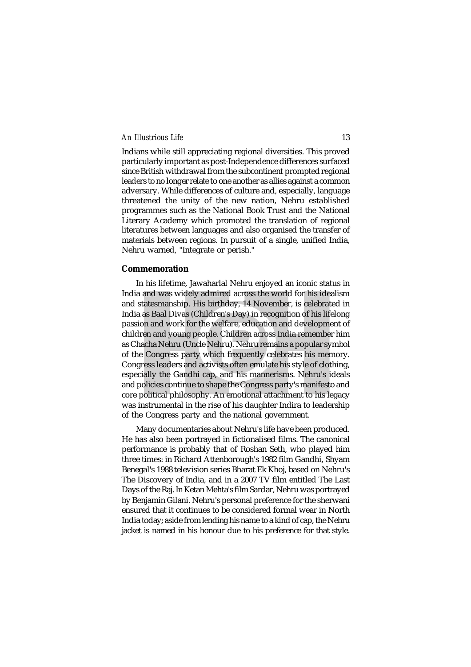Indians while still appreciating regional diversities. This proved particularly important as post-Independence differences surfaced since British withdrawal from the subcontinent prompted regional leaders to no longer relate to one another as allies against a common adversary. While differences of culture and, especially, language threatened the unity of the new nation, Nehru established programmes such as the National Book Trust and the National Literary Academy which promoted the translation of regional literatures between languages and also organised the transfer of materials between regions. In pursuit of a single, unified India, Nehru warned, "Integrate or perish."

#### **Commemoration**

In his lifetime, Jawaharlal Nehru enjoyed an iconic status in India and was widely admired across the world for his idealism and statesmanship. His birthday, 14 November, is celebrated in India as Baal Divas (Children's Day) in recognition of his lifelong passion and work for the welfare, education and development of children and young people. Children across India remember him as Chacha Nehru (Uncle Nehru). Nehru remains a popular symbol of the Congress party which frequently celebrates his memory. Congress leaders and activists often emulate his style of clothing, especially the Gandhi cap, and his mannerisms. Nehru's ideals and policies continue to shape the Congress party's manifesto and core political philosophy. An emotional attachment to his legacy was instrumental in the rise of his daughter Indira to leadership of the Congress party and the national government.

Many documentaries about Nehru's life have been produced. He has also been portrayed in fictionalised films. The canonical performance is probably that of Roshan Seth, who played him three times: in Richard Attenborough's 1982 film Gandhi, Shyam Benegal's 1988 television series Bharat Ek Khoj, based on Nehru's The Discovery of India, and in a 2007 TV film entitled The Last Days of the Raj. In Ketan Mehta's film Sardar, Nehru was portrayed by Benjamin Gilani. Nehru's personal preference for the sherwani ensured that it continues to be considered formal wear in North India today; aside from lending his name to a kind of cap, the Nehru jacket is named in his honour due to his preference for that style.